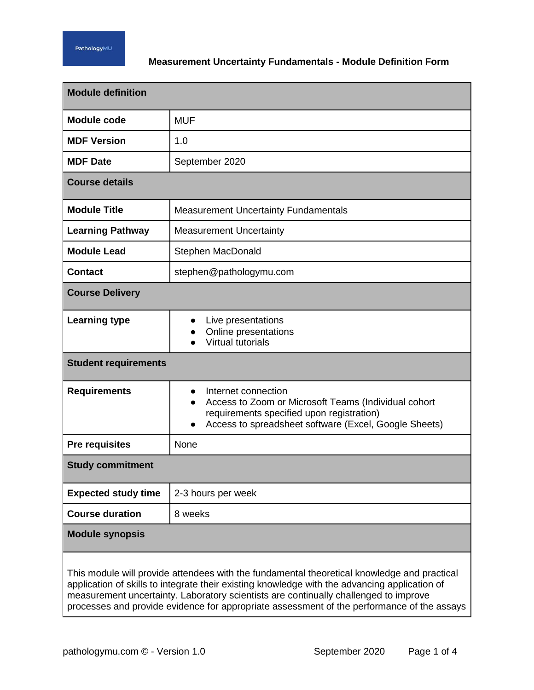# **Measurement Uncertainty Fundamentals - Module Definition Form**

| <b>Module definition</b>                                                                                                                                                                     |                                                                                                                                                                                   |  |
|----------------------------------------------------------------------------------------------------------------------------------------------------------------------------------------------|-----------------------------------------------------------------------------------------------------------------------------------------------------------------------------------|--|
| <b>Module code</b>                                                                                                                                                                           | <b>MUF</b>                                                                                                                                                                        |  |
| <b>MDF Version</b>                                                                                                                                                                           | 1.0                                                                                                                                                                               |  |
| <b>MDF Date</b>                                                                                                                                                                              | September 2020                                                                                                                                                                    |  |
| <b>Course details</b>                                                                                                                                                                        |                                                                                                                                                                                   |  |
| <b>Module Title</b>                                                                                                                                                                          | <b>Measurement Uncertainty Fundamentals</b>                                                                                                                                       |  |
| <b>Learning Pathway</b>                                                                                                                                                                      | <b>Measurement Uncertainty</b>                                                                                                                                                    |  |
| <b>Module Lead</b>                                                                                                                                                                           | Stephen MacDonald                                                                                                                                                                 |  |
| <b>Contact</b>                                                                                                                                                                               | stephen@pathologymu.com                                                                                                                                                           |  |
| <b>Course Delivery</b>                                                                                                                                                                       |                                                                                                                                                                                   |  |
| <b>Learning type</b>                                                                                                                                                                         | Live presentations<br>Online presentations<br><b>Virtual tutorials</b>                                                                                                            |  |
| <b>Student requirements</b>                                                                                                                                                                  |                                                                                                                                                                                   |  |
| <b>Requirements</b>                                                                                                                                                                          | Internet connection<br>Access to Zoom or Microsoft Teams (Individual cohort<br>requirements specified upon registration)<br>Access to spreadsheet software (Excel, Google Sheets) |  |
| <b>Pre requisites</b>                                                                                                                                                                        | None                                                                                                                                                                              |  |
| <b>Study commitment</b>                                                                                                                                                                      |                                                                                                                                                                                   |  |
| <b>Expected study time</b>                                                                                                                                                                   | 2-3 hours per week                                                                                                                                                                |  |
| <b>Course duration</b>                                                                                                                                                                       | 8 weeks                                                                                                                                                                           |  |
| <b>Module synopsis</b>                                                                                                                                                                       |                                                                                                                                                                                   |  |
| This module will provide attendees with the fundamental theoretical knowledge and practical<br>application of skills to integrate their existing knowledge with the advancing application of |                                                                                                                                                                                   |  |

measurement uncertainty. Laboratory scientists are continually challenged to improve processes and provide evidence for appropriate assessment of the performance of the assays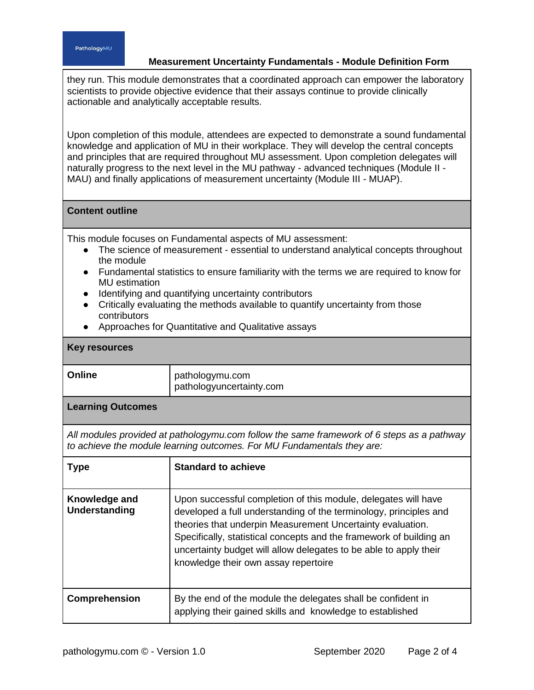#### PathologyMU

# **Measurement Uncertainty Fundamentals - Module Definition Form**

they run. This module demonstrates that a coordinated approach can empower the laboratory scientists to provide objective evidence that their assays continue to provide clinically actionable and analytically acceptable results.

Upon completion of this module, attendees are expected to demonstrate a sound fundamental knowledge and application of MU in their workplace. They will develop the central concepts and principles that are required throughout MU assessment. Upon completion delegates will naturally progress to the next level in the MU pathway - advanced techniques (Module II - MAU) and finally applications of measurement uncertainty (Module III - MUAP).

# **Content outline**

This module focuses on Fundamental aspects of MU assessment:

- The science of measurement essential to understand analytical concepts throughout the module
- Fundamental statistics to ensure familiarity with the terms we are required to know for MU estimation
- Identifying and quantifying uncertainty contributors
- Critically evaluating the methods available to quantify uncertainty from those contributors
- Approaches for Quantitative and Qualitative assays

## **Key resources**

| Online | pathologymu.com<br>pathologyuncertainty.com |
|--------|---------------------------------------------|
|        |                                             |

## **Learning Outcomes**

*All modules provided at pathologymu.com follow the same framework of 6 steps as a pathway to achieve the module learning outcomes. For MU Fundamentals they are:*

| <b>Type</b>                    | <b>Standard to achieve</b>                                                                                                                                                                                                                                                                                                                                                            |
|--------------------------------|---------------------------------------------------------------------------------------------------------------------------------------------------------------------------------------------------------------------------------------------------------------------------------------------------------------------------------------------------------------------------------------|
| Knowledge and<br>Understanding | Upon successful completion of this module, delegates will have<br>developed a full understanding of the terminology, principles and<br>theories that underpin Measurement Uncertainty evaluation.<br>Specifically, statistical concepts and the framework of building an<br>uncertainty budget will allow delegates to be able to apply their<br>knowledge their own assay repertoire |
| <b>Comprehension</b>           | By the end of the module the delegates shall be confident in<br>applying their gained skills and knowledge to established                                                                                                                                                                                                                                                             |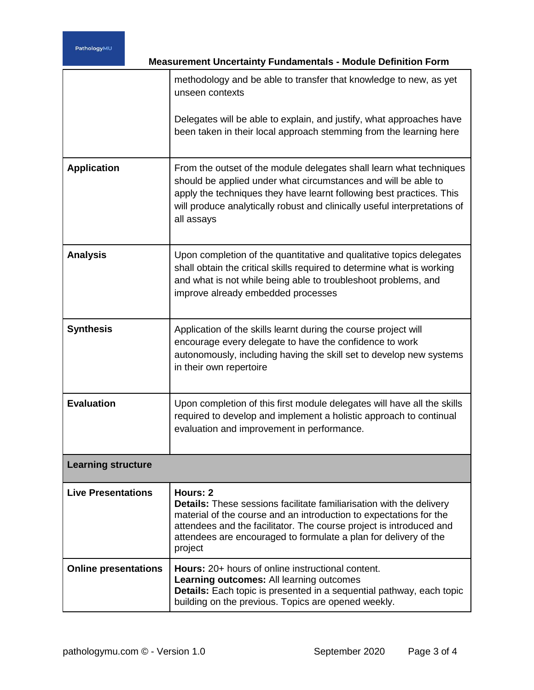| <b>Measurement Uncertainty Fundamentals - Module Definition Form</b> |                                                                                                                                                                                                                                                                                                                     |  |
|----------------------------------------------------------------------|---------------------------------------------------------------------------------------------------------------------------------------------------------------------------------------------------------------------------------------------------------------------------------------------------------------------|--|
|                                                                      | methodology and be able to transfer that knowledge to new, as yet<br>unseen contexts                                                                                                                                                                                                                                |  |
|                                                                      | Delegates will be able to explain, and justify, what approaches have<br>been taken in their local approach stemming from the learning here                                                                                                                                                                          |  |
| <b>Application</b>                                                   | From the outset of the module delegates shall learn what techniques<br>should be applied under what circumstances and will be able to<br>apply the techniques they have learnt following best practices. This<br>will produce analytically robust and clinically useful interpretations of<br>all assays            |  |
| <b>Analysis</b>                                                      | Upon completion of the quantitative and qualitative topics delegates<br>shall obtain the critical skills required to determine what is working<br>and what is not while being able to troubleshoot problems, and<br>improve already embedded processes                                                              |  |
| <b>Synthesis</b>                                                     | Application of the skills learnt during the course project will<br>encourage every delegate to have the confidence to work<br>autonomously, including having the skill set to develop new systems<br>in their own repertoire                                                                                        |  |
| <b>Evaluation</b>                                                    | Upon completion of this first module delegates will have all the skills<br>required to develop and implement a holistic approach to continual<br>evaluation and improvement in performance.                                                                                                                         |  |
| <b>Learning structure</b>                                            |                                                                                                                                                                                                                                                                                                                     |  |
| <b>Live Presentations</b>                                            | Hours: 2<br><b>Details:</b> These sessions facilitate familiarisation with the delivery<br>material of the course and an introduction to expectations for the<br>attendees and the facilitator. The course project is introduced and<br>attendees are encouraged to formulate a plan for delivery of the<br>project |  |
| <b>Online presentations</b>                                          | <b>Hours:</b> 20+ hours of online instructional content.<br>Learning outcomes: All learning outcomes<br>Details: Each topic is presented in a sequential pathway, each topic<br>building on the previous. Topics are opened weekly.                                                                                 |  |